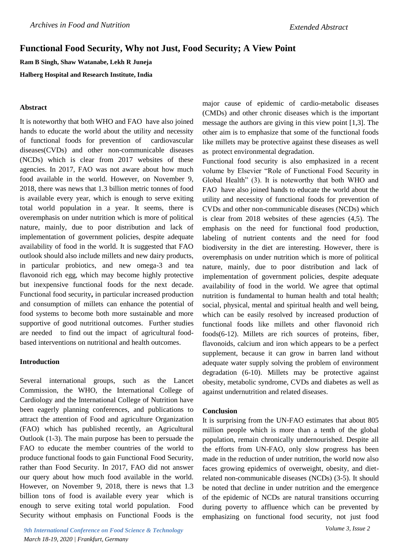# **Functional Food Security, Why not Just, Food Security; A View Point**

**Ram B Singh, Shaw Watanabe, Lekh R Juneja**

**Halberg Hospital and Research Institute, India**

### **Abstract**

It is noteworthy that both WHO and FAO have also joined hands to educate the world about the utility and necessity of functional foods for prevention of cardiovascular diseases(CVDs) and other non-communicable diseases (NCDs) which is clear from 2017 websites of these agencies. In 2017, FAO was not aware about how much food available in the world. However, on November 9, 2018, there was news that 1.3 billion metric tonnes of food is available every year, which is enough to serve exiting total world population in a year. It seems, there is overemphasis on under nutrition which is more of political nature, mainly, due to poor distribution and lack of implementation of government policies, despite adequate availability of food in the world. It is suggested that FAO outlook should also include millets and new dairy products, in particular probiotics, and new omega-3 and tea flavonoid rich egg, which may become highly protective but inexpensive functional foods for the next decade. Functional food security**,** in particular increased production and consumption of millets can enhance the potential of food systems to become both more sustainable and more supportive of good nutritional outcomes. Further studies are needed to find out the impact of agricultural foodbased interventions on nutritional and health outcomes.

### **Introduction**

Several international groups, such as the Lancet Commission, the WHO, the International College of Cardiology and the International College of Nutrition have been eagerly planning conferences, and publications to attract the attention of Food and agriculture Organization (FAO) which has published recently, an Agricultural Outlook (1-3). The main purpose has been to persuade the FAO to educate the member countries of the world to produce functional foods to gain Functional Food Security, rather than Food Security. In 2017, FAO did not answer our query about how much food available in the world. However, on November 9, 2018, there is news that 1.3 billion tons of food is available every year which is enough to serve exiting total world population. Food Security without emphasis on Functional Foods is the

*9th International Conference on Food Science & Technology March 18-19, 2020 | Frankfurt, Germany*

major cause of epidemic of cardio-metabolic diseases (CMDs) and other chronic diseases which is the important message the authors are giving in this view point [1,3]. The other aim is to emphasize that some of the functional foods like millets may be protective against these diseases as well as protect environmental degradation.

Functional food security is also emphasized in a recent volume by Elsevier "Role of Functional Food Security in Global Health" (3). It is noteworthy that both WHO and FAO have also joined hands to educate the world about the utility and necessity of functional foods for prevention of CVDs and other non-communicable diseases (NCDs) which is clear from 2018 websites of these agencies (4,5). The emphasis on the need for functional food production, labeling of nutrient contents and the need for food biodiversity in the diet are interesting. However, there is overemphasis on under nutrition which is more of political nature, mainly, due to poor distribution and lack of implementation of government policies, despite adequate availability of food in the world. We agree that optimal nutrition is fundamental to human health and total health; social, physical, mental and spiritual health and well being, which can be easily resolved by increased production of functional foods like millets and other flavonoid rich foods(6-12). Millets are rich sources of proteins, fiber, flavonoids, calcium and iron which appears to be a perfect supplement, because it can grow in barren land without adequate water supply solving the problem of environment degradation (6-10). Millets may be protective against obesity, metabolic syndrome, CVDs and diabetes as well as against undernutrition and related diseases.

#### **Conclusion**

It is surprising from the UN-FAO estimates that about 805 million people which is more than a tenth of the global population, remain chronically undernourished. Despite all the efforts from UN-FAO, only slow progress has been made in the reduction of under nutrition, the world now also faces growing epidemics of overweight, obesity, and dietrelated non-communicable diseases (NCDs) (3-5). It should be noted that decline in under nutrition and the emergence of the epidemic of NCDs are natural transitions occurring during poverty to affluence which can be prevented by emphasizing on functional food security, not just food